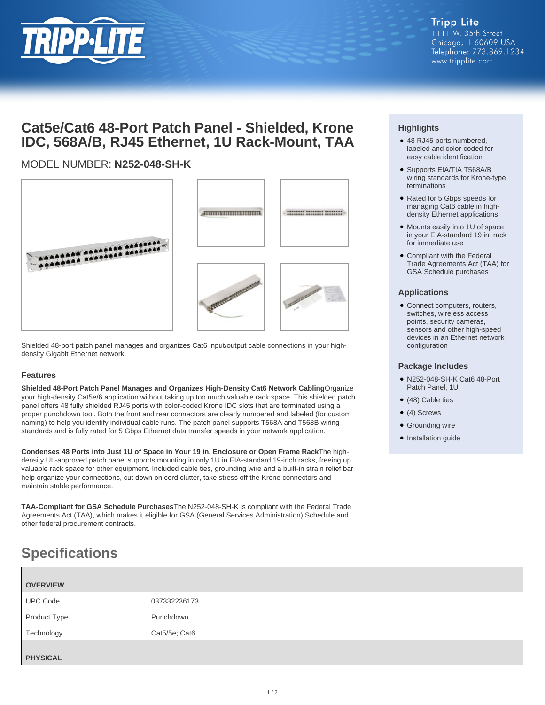

# **Cat5e/Cat6 48-Port Patch Panel - Shielded, Krone IDC, 568A/B, RJ45 Ethernet, 1U Rack-Mount, TAA**

## MODEL NUMBER: **N252-048-SH-K**



Shielded 48-port patch panel manages and organizes Cat6 input/output cable connections in your highdensity Gigabit Ethernet network.

### **Features**

**Shielded 48-Port Patch Panel Manages and Organizes High-Density Cat6 Network Cabling**Organize your high-density Cat5e/6 application without taking up too much valuable rack space. This shielded patch panel offers 48 fully shielded RJ45 ports with color-coded Krone IDC slots that are terminated using a proper punchdown tool. Both the front and rear connectors are clearly numbered and labeled (for custom naming) to help you identify individual cable runs. The patch panel supports T568A and T568B wiring standards and is fully rated for 5 Gbps Ethernet data transfer speeds in your network application.

**Condenses 48 Ports into Just 1U of Space in Your 19 in. Enclosure or Open Frame Rack**The highdensity UL-approved patch panel supports mounting in only 1U in EIA-standard 19-inch racks, freeing up valuable rack space for other equipment. Included cable ties, grounding wire and a built-in strain relief bar help organize your connections, cut down on cord clutter, take stress off the Krone connectors and maintain stable performance.

**TAA-Compliant for GSA Schedule Purchases**The N252-048-SH-K is compliant with the Federal Trade Agreements Act (TAA), which makes it eligible for GSA (General Services Administration) Schedule and other federal procurement contracts.

# **Specifications**

| <b>OVERVIEW</b> |               |
|-----------------|---------------|
| <b>UPC Code</b> | 037332236173  |
| Product Type    | Punchdown     |
| Technology      | Cat5/5e; Cat6 |
| <b>PHYSICAL</b> |               |

### **Highlights**

- 48 RJ45 ports numbered, labeled and color-coded for easy cable identification
- Supports EIA/TIA T568A/B wiring standards for Krone-type terminations
- Rated for 5 Gbps speeds for managing Cat6 cable in highdensity Ethernet applications
- Mounts easily into 1U of space in your EIA-standard 19 in. rack for immediate use
- Compliant with the Federal Trade Agreements Act (TAA) for GSA Schedule purchases

### **Applications**

Connect computers, routers, ● switches, wireless access points, security cameras, sensors and other high-speed devices in an Ethernet network configuration

#### **Package Includes**

- N252-048-SH-K Cat6 48-Port Patch Panel, 1U
- (48) Cable ties
- (4) Screws
- Grounding wire
- Installation guide